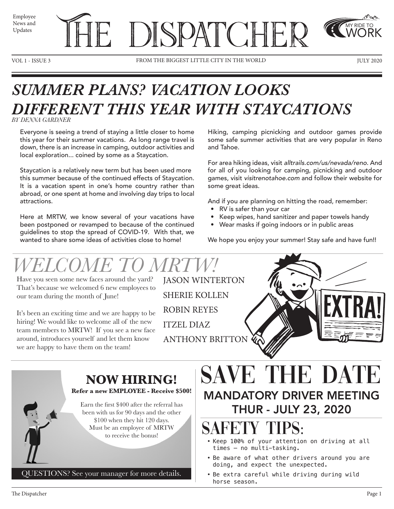

VOL 1 - ISSUE 3 FROM THE BIGGEST LITTLE CITY IN THE WORLD TULY 2020

## *SUMMER PLANS? VACATION LOOKS DIFFERENT THIS YEAR WITH STAYCATIONS*

*BY DENNA GARDNER*

Everyone is seeing a trend of staying a little closer to home this year for their summer vacations. As long range travel is down, there is an increase in camping, outdoor activities and local exploration... coined by some as a Staycation.

Staycation is a relatively new term but has been used more this summer because of the continued effects of Staycation. It is a vacation spent in one's home country rather than abroad, or one spent at home and involving day trips to local attractions.

Here at MRTW, we know several of your vacations have been postponed or revamped to because of the continued guidelines to stop the spread of COVID-19. With that, we wanted to share some ideas of activities close to home!

Hiking, camping picnicking and outdoor games provide some safe summer activities that are very popular in Reno and Tahoe.

For area hiking ideas, visit *alltrails.com/us/nevada/reno*. And for all of you looking for camping, picnicking and outdoor games, visit *visitrenotahoe.com* and follow their website for some great ideas.

And if you are planning on hitting the road, remember:

- RV is safer than your car
- Keep wipes, hand sanitizer and paper towels handy
- Wear masks if going indoors or in public areas

We hope you enjoy your summer! Stay safe and have fun!!

# *WELCOME TO MRTW!*

Have you seen some new faces around the yard? That's because we welcomed 6 new employees to our team during the month of June!

It's been an exciting time and we are happy to be hiring! We would like to welcome all of the new team members to MRTW! If you see a new face around, introduces yourself and let them know we are happy to have them on the team!

JASON WINTERTON SHERIE KOLLEN ROBIN REYES ITZEL DIAZ ANTHONY BRITTON

### **NOW HIRING!**

**Refer a new EMPLOYEE - Receive \$500!**

Earn the first \$400 after the referral has been with us for 90 days and the other \$100 when they hit 120 days. Must be an employee of MRTW to receive the bonus!

#### QUESTIONS? See your manager for more details.

## SAVE THE DATE MANDATORY DRIVER MEETING THUR - JULY 23, 2020

## SAFETY TIPS:

- Keep 100% of your attention on driving at all times – no multi-tasking.
- Be aware of what other drivers around you are doing, and expect the unexpected.
- Be extra careful while driving during wild horse season.